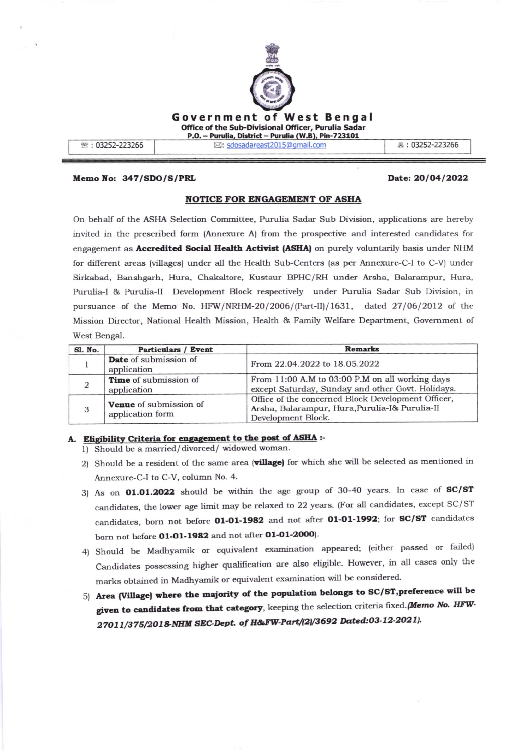

Memo No: 347/SDO/S/PRL

## Date: 20/04/2022

# NOTICE FOR ENGAGEMENT OF ASHA

On behalf of the ASHA Selection Committee, Purulia Sadar Sub Division, applications are hereby invited in the prescribed form (Annexure A) from the prospective and interested candidates for engagement as **Accredited Social Health Activist (ASHA)** on purely voluntarily basis under NHM for different areas (villages) under all the Health Sub-Centers (as per Annexure-C-I to C-V) under Sirkabad, Banshgarh, Hura, Chakaltore, Kustaur BPHC/RH under Arsha, Balarampur, Hura, Purulia-I & Purulia-II Development Block respectively under Purulia Sadar Sub Division, in pursuance of the Memo No. HFW/NRHM-20/2006/(Part-II)/1631, dated 27/06/2012 of the Mission Director, National Health Mission, Health & Family Welfare Department, Government of West Bengal.

| Sl. No. | <b>Particulars / Event</b>                 | <b>Remarks</b>                                                                                                             |
|---------|--------------------------------------------|----------------------------------------------------------------------------------------------------------------------------|
|         | Date of submission of<br>application       | From 22.04.2022 to 18.05.2022                                                                                              |
|         | Time of submission of<br>application       | From 11:00 A.M to 03:00 P.M on all working days<br>except Saturday, Sunday and other Govt. Holidays.                       |
| 3       | Venue of submission of<br>application form | Office of the concerned Block Development Officer,<br>Arsha, Balarampur, Hura, Purulia-I& Purulia-II<br>Development Block. |

# A. Eligibility Criteria for engagement to the post of ASHA :-

1) Should be a married/divorced/widowed woman.

- 2) Should be a resident of the same area (village) for which she will be selected as mentioned in Annexure-C-I to C-V, column No. 4.
- 3) As on 01.01.2022 should be within the age group of 30-40 years. In case of SC/ST candidates, the lower age limit may be relaxed to 22 years. (For all candidates, except SC/ST candidates, born not before 01-01-1982 and not after 01-01-1992; for SC/ST candidates born not before 01-01-1982 and not after 01-01-2000).
- 4) Should be Madhyamik or equivalent examination appeared; (either passed or failed) Candidates possessing higher qualification are also eligible. However, in all cases only the marks obtained in Madhyamik or equivalent examination will be considered.
- 5) Area (Village) where the majority of the population belongs to SC/ST, preference will be given to candidates from that category, keeping the selection criteria fixed. [Memo No. HFW-27011/375/2018-NHM SEC-Dept. of H&FW-Part/(2)/3692 Dated:03-12-2021).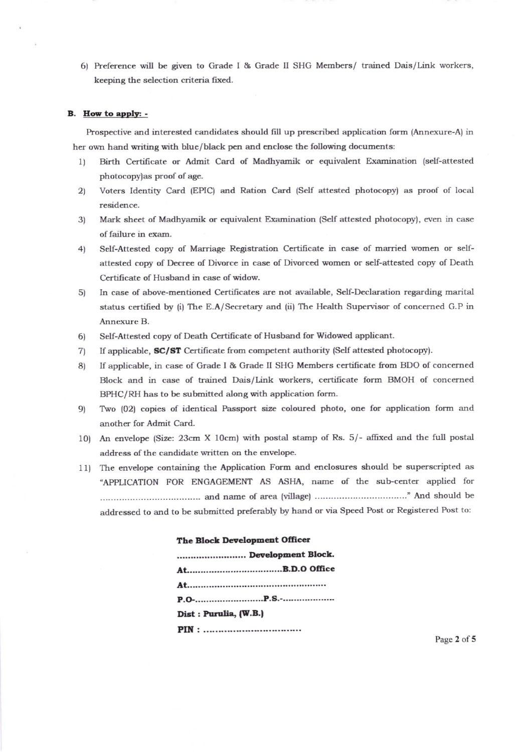6) Preference will be given to Grade I & Grade II SHG Members/ trained Dais/Link workers, keeping the selection criteria fixed.

#### B. How to apply: -

Prospective and interested candidates should fill up prescribed application form (Annexure-A) in her own hand writing with blue/black pen and enclose the following documents:

- Birth Certificate or Admit Card of Madhyamik or equivalent Examination (self-attested  $1)$ photocopy) as proof of age.
- Voters Identity Card (EPIC) and Ration Card (Self attested photocopy) as proof of local  $(2)$ residence.
- Mark sheet of Madhyamik or equivalent Examination (Self attested photocopy), even in case 3) of failure in exam.
- Self-Attested copy of Marriage Registration Certificate in case of married women or self- $4)$ attested copy of Decree of Divorce in case of Divorced women or self-attested copy of Death Certificate of Husband in case of widow.
- In case of above-mentioned Certificates are not available, Self-Declaration regarding marital  $5)$ status certified by (i) The E.A/Secretary and (ii) The Health Supervisor of concerned G.P in Annexure B.
- Self-Attested copy of Death Certificate of Husband for Widowed applicant.  $6)$
- If applicable, SC/ST Certificate from competent authority (Self attested photocopy).  $7)$
- If applicable, in case of Grade I & Grade II SHG Members certificate from BDO of concerned 8) Block and in case of trained Dais/Link workers, certificate form BMOH of concerned BPHC/RH has to be submitted along with application form.
- Two (02) copies of identical Passport size coloured photo, one for application form and  $9)$ another for Admit Card.
- 10) An envelope (Size: 23cm X 10cm) with postal stamp of Rs. 5/- affixed and the full postal address of the candidate written on the envelope.
- 11) The envelope containing the Application Form and enclosures should be superscripted as "APPLICATION FOR ENGAGEMENT AS ASHA, name of the sub-center applied for addressed to and to be submitted preferably by hand or via Speed Post or Registered Post to:

| The plock Development Officer |
|-------------------------------|
| Development Block.            |
|                               |
|                               |
|                               |
| Dist: Purulia, (W.B.)         |
|                               |

The Plack Bergleimant Officer

Page 2 of 5